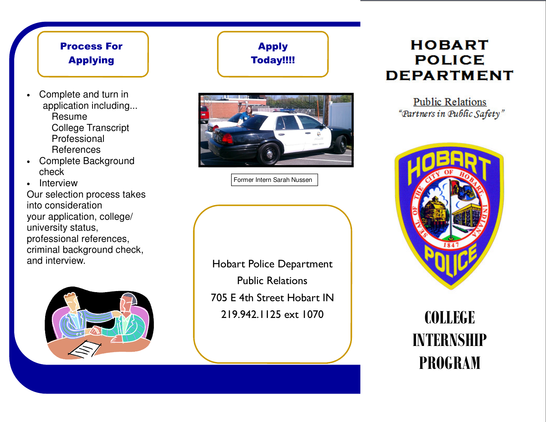# Process For

- Complete and turn in application including... Resume College Transcript Professional References
- Complete Background check

 • Interview Our selection process takes into consideration your application, college/university status, professional references, criminal background check, and interview.



### Apply Today!!!!



Former Intern Sarah Nussen

Hobart Police Department Public Relations 705 E 4th Street Hobart IN 219.942.1125 ext 1070

# **HOBART** Applying | **I** Today!!!! | **POLICE** DEPARTI

**Public Relations** "Partners in Public Safety"



## **COLLEGE**  $\alpha$ <sup>2</sup> **INTERNSHIP PROGRAM**